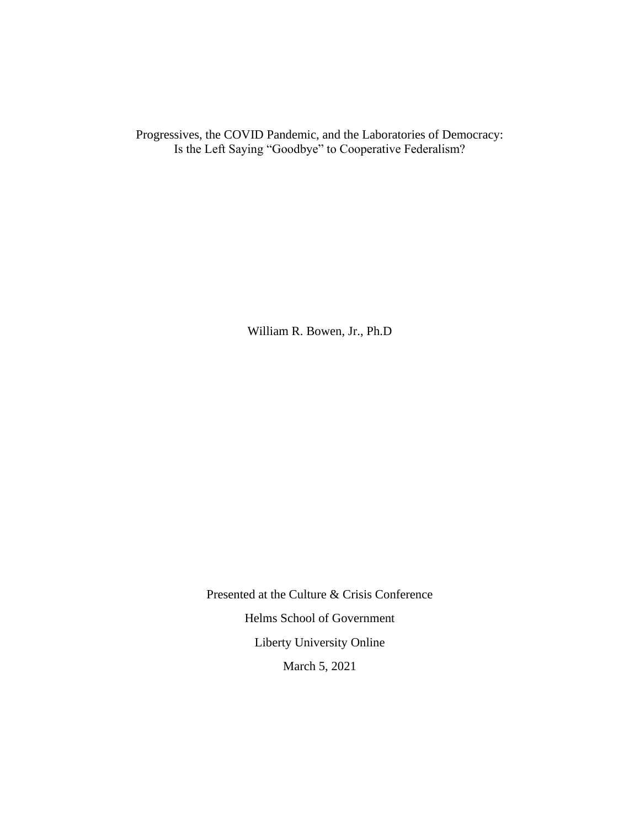Progressives, the COVID Pandemic, and the Laboratories of Democracy: Is the Left Saying "Goodbye" to Cooperative Federalism?

William R. Bowen, Jr., Ph.D

Presented at the Culture & Crisis Conference Helms School of Government Liberty University Online March 5, 2021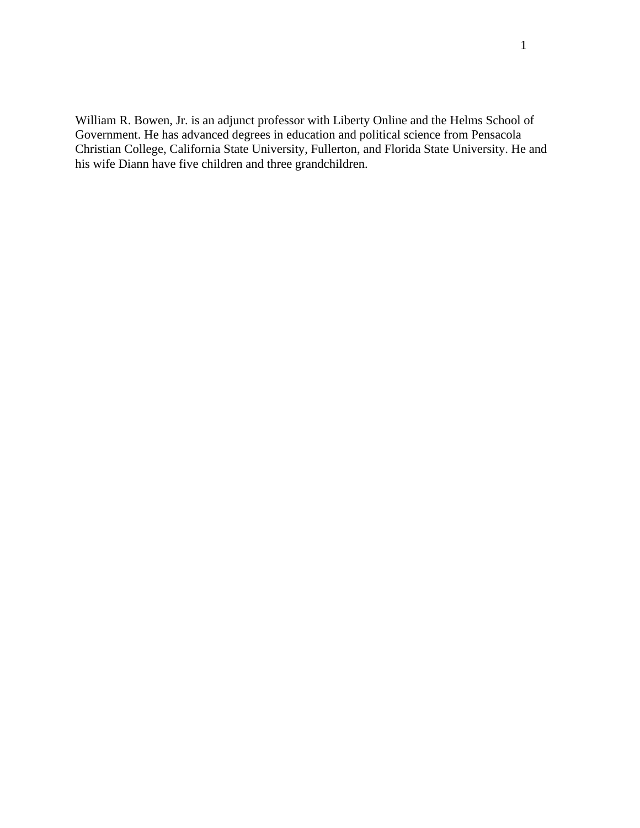William R. Bowen, Jr. is an adjunct professor with Liberty Online and the Helms School of Government. He has advanced degrees in education and political science from Pensacola Christian College, California State University, Fullerton, and Florida State University. He and his wife Diann have five children and three grandchildren.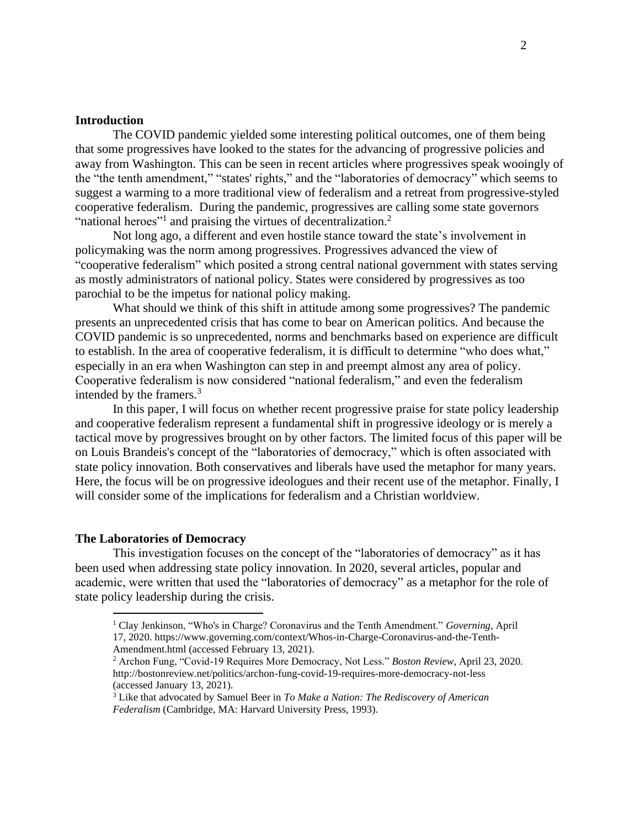### **Introduction**

The COVID pandemic yielded some interesting political outcomes, one of them being that some progressives have looked to the states for the advancing of progressive policies and away from Washington. This can be seen in recent articles where progressives speak wooingly of the "the tenth amendment," "states' rights," and the "laboratories of democracy" which seems to suggest a warming to a more traditional view of federalism and a retreat from progressive-styled cooperative federalism. During the pandemic, progressives are calling some state governors "national heroes"<sup>1</sup> and praising the virtues of decentralization.<sup>2</sup>

Not long ago, a different and even hostile stance toward the state's involvement in policymaking was the norm among progressives. Progressives advanced the view of "cooperative federalism" which posited a strong central national government with states serving as mostly administrators of national policy. States were considered by progressives as too parochial to be the impetus for national policy making.

What should we think of this shift in attitude among some progressives? The pandemic presents an unprecedented crisis that has come to bear on American politics. And because the COVID pandemic is so unprecedented, norms and benchmarks based on experience are difficult to establish. In the area of cooperative federalism, it is difficult to determine "who does what," especially in an era when Washington can step in and preempt almost any area of policy. Cooperative federalism is now considered "national federalism," and even the federalism intended by the framers.<sup>3</sup>

In this paper, I will focus on whether recent progressive praise for state policy leadership and cooperative federalism represent a fundamental shift in progressive ideology or is merely a tactical move by progressives brought on by other factors. The limited focus of this paper will be on Louis Brandeis's concept of the "laboratories of democracy," which is often associated with state policy innovation. Both conservatives and liberals have used the metaphor for many years. Here, the focus will be on progressive ideologues and their recent use of the metaphor. Finally, I will consider some of the implications for federalism and a Christian worldview.

#### **The Laboratories of Democracy**

This investigation focuses on the concept of the "laboratories of democracy" as it has been used when addressing state policy innovation. In 2020, several articles, popular and academic, were written that used the "laboratories of democracy" as a metaphor for the role of state policy leadership during the crisis.

<sup>1</sup> Clay Jenkinson, "Who's in Charge? Coronavirus and the Tenth Amendment." *Governing*, April 17, 2020. https://www.governing.com/context/Whos-in-Charge-Coronavirus-and-the-Tenth-Amendment.html (accessed February 13, 2021).

<sup>2</sup> Archon Fung, "Covid-19 Requires More Democracy, Not Less." *Boston Review*, April 23, 2020. http://bostonreview.net/politics/archon-fung-covid-19-requires-more-democracy-not-less (accessed January 13, 2021).

<sup>3</sup> Like that advocated by Samuel Beer in *To Make a Nation: The Rediscovery of American Federalism* (Cambridge, MA: Harvard University Press, 1993).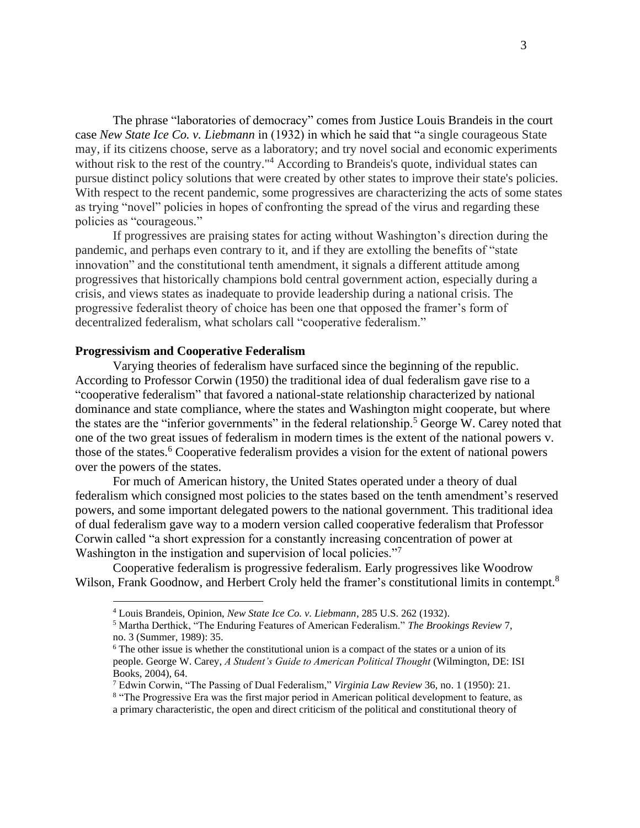The phrase "laboratories of democracy" comes from Justice Louis Brandeis in the court case *New State Ice Co. v. Liebmann* in (1932) in which he said that "a single courageous State may, if its citizens choose, serve as a laboratory; and try novel social and economic experiments without risk to the rest of the country."<sup>4</sup> According to Brandeis's quote, individual states can pursue distinct policy solutions that were created by other states to improve their state's policies. With respect to the recent pandemic, some progressives are characterizing the acts of some states as trying "novel" policies in hopes of confronting the spread of the virus and regarding these policies as "courageous."

If progressives are praising states for acting without Washington's direction during the pandemic, and perhaps even contrary to it, and if they are extolling the benefits of "state innovation" and the constitutional tenth amendment, it signals a different attitude among progressives that historically champions bold central government action, especially during a crisis, and views states as inadequate to provide leadership during a national crisis. The progressive federalist theory of choice has been one that opposed the framer's form of decentralized federalism, what scholars call "cooperative federalism."

### **Progressivism and Cooperative Federalism**

Varying theories of federalism have surfaced since the beginning of the republic. According to Professor Corwin (1950) the traditional idea of dual federalism gave rise to a "cooperative federalism" that favored a national-state relationship characterized by national dominance and state compliance, where the states and Washington might cooperate, but where the states are the "inferior governments" in the federal relationship.<sup>5</sup> George W. Carey noted that one of the two great issues of federalism in modern times is the extent of the national powers v. those of the states.<sup>6</sup> Cooperative federalism provides a vision for the extent of national powers over the powers of the states.

For much of American history, the United States operated under a theory of dual federalism which consigned most policies to the states based on the tenth amendment's reserved powers, and some important delegated powers to the national government. This traditional idea of dual federalism gave way to a modern version called cooperative federalism that Professor Corwin called "a short expression for a constantly increasing concentration of power at Washington in the instigation and supervision of local policies."<sup>7</sup>

Cooperative federalism is progressive federalism. Early progressives like Woodrow Wilson, Frank Goodnow, and Herbert Croly held the framer's constitutional limits in contempt.<sup>8</sup>

<sup>4</sup> Louis Brandeis, Opinion, *New State Ice Co. v. Liebmann*, 285 U.S. 262 (1932).

<sup>5</sup> Martha Derthick, "The Enduring Features of American Federalism." *The Brookings Review* 7, no. 3 (Summer, 1989): 35.

 $6$  The other issue is whether the constitutional union is a compact of the states or a union of its people. George W. Carey, *A Student's Guide to American Political Thought* (Wilmington, DE: ISI Books, 2004), 64.

<sup>7</sup> Edwin Corwin, "The Passing of Dual Federalism," *Virginia Law Review* 36, no. 1 (1950): 21.

<sup>&</sup>lt;sup>8</sup> "The Progressive Era was the first major period in American political development to feature, as a primary characteristic, the open and direct criticism of the political and constitutional theory of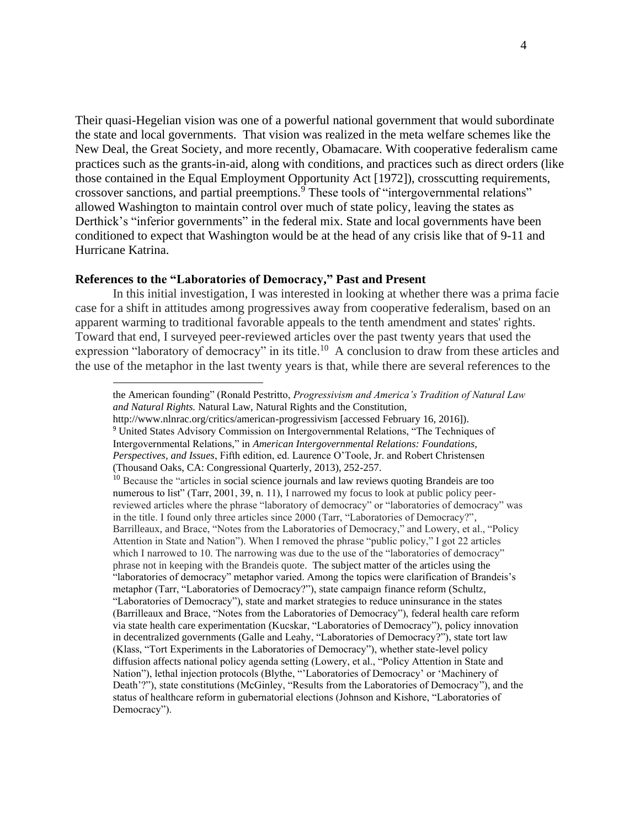Their quasi-Hegelian vision was one of a powerful national government that would subordinate the state and local governments. That vision was realized in the meta welfare schemes like the New Deal, the Great Society, and more recently, Obamacare. With cooperative federalism came practices such as the grants-in-aid, along with conditions, and practices such as direct orders (like those contained in the Equal Employment Opportunity Act [1972]), crosscutting requirements, crossover sanctions, and partial preemptions.<sup>9</sup> These tools of "intergovernmental relations" allowed Washington to maintain control over much of state policy, leaving the states as Derthick's "inferior governments" in the federal mix. State and local governments have been conditioned to expect that Washington would be at the head of any crisis like that of 9-11 and Hurricane Katrina.

### **References to the "Laboratories of Democracy," Past and Present**

In this initial investigation, I was interested in looking at whether there was a prima facie case for a shift in attitudes among progressives away from cooperative federalism, based on an apparent warming to traditional favorable appeals to the tenth amendment and states' rights. Toward that end, I surveyed peer-reviewed articles over the past twenty years that used the expression "laboratory of democracy" in its title.<sup>10</sup> A conclusion to draw from these articles and the use of the metaphor in the last twenty years is that, while there are several references to the

http://www.nlnrac.org/critics/american-progressivism [accessed February 16, 2016]). <sup>9</sup> United States Advisory Commission on Intergovernmental Relations, "The Techniques of

the American founding" (Ronald Pestritto, *Progressivism and America's Tradition of Natural Law and Natural Rights.* Natural Law, Natural Rights and the Constitution,

Intergovernmental Relations," in *American Intergovernmental Relations: Foundations, Perspectives, and Issues*, Fifth edition, ed. Laurence O'Toole, Jr. and Robert Christensen (Thousand Oaks, CA: Congressional Quarterly, 2013), 252-257.

<sup>&</sup>lt;sup>10</sup> Because the "articles in social science journals and law reviews quoting Brandeis are too numerous to list" (Tarr, 2001, 39, n. 11), I narrowed my focus to look at public policy peerreviewed articles where the phrase "laboratory of democracy" or "laboratories of democracy" was in the title. I found only three articles since 2000 (Tarr, "Laboratories of Democracy?", Barrilleaux, and Brace, "Notes from the Laboratories of Democracy," and Lowery, et al., "Policy Attention in State and Nation"). When I removed the phrase "public policy," I got 22 articles which I narrowed to 10. The narrowing was due to the use of the "laboratories of democracy" phrase not in keeping with the Brandeis quote. The subject matter of the articles using the "laboratories of democracy" metaphor varied. Among the topics were clarification of Brandeis's metaphor (Tarr, "Laboratories of Democracy?"), state campaign finance reform (Schultz, "Laboratories of Democracy"), state and market strategies to reduce uninsurance in the states (Barrilleaux and Brace, "Notes from the Laboratories of Democracy"), federal health care reform via state health care experimentation (Kucskar, "Laboratories of Democracy"), policy innovation in decentralized governments (Galle and Leahy, "Laboratories of Democracy?"), state tort law (Klass, "Tort Experiments in the Laboratories of Democracy"), whether state-level policy diffusion affects national policy agenda setting (Lowery, et al., "Policy Attention in State and Nation"), lethal injection protocols (Blythe, "'Laboratories of Democracy' or 'Machinery of Death'?"), state constitutions (McGinley, "Results from the Laboratories of Democracy"), and the status of healthcare reform in gubernatorial elections (Johnson and Kishore, "Laboratories of Democracy").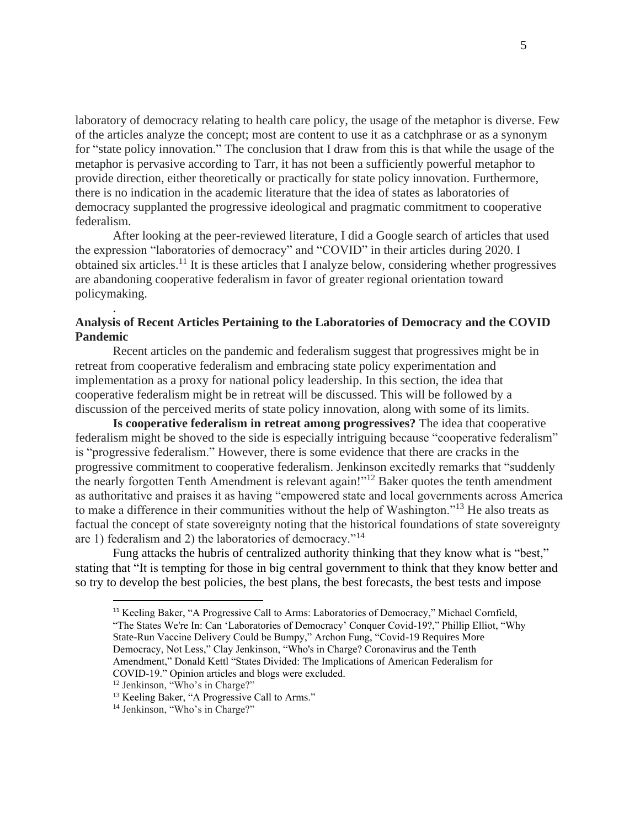laboratory of democracy relating to health care policy, the usage of the metaphor is diverse. Few of the articles analyze the concept; most are content to use it as a catchphrase or as a synonym for "state policy innovation." The conclusion that I draw from this is that while the usage of the metaphor is pervasive according to Tarr, it has not been a sufficiently powerful metaphor to provide direction, either theoretically or practically for state policy innovation. Furthermore, there is no indication in the academic literature that the idea of states as laboratories of democracy supplanted the progressive ideological and pragmatic commitment to cooperative federalism.

After looking at the peer-reviewed literature, I did a Google search of articles that used the expression "laboratories of democracy" and "COVID" in their articles during 2020. I obtained six articles.<sup>11</sup> It is these articles that I analyze below, considering whether progressives are abandoning cooperative federalism in favor of greater regional orientation toward policymaking.

# **Analysis of Recent Articles Pertaining to the Laboratories of Democracy and the COVID Pandemic**

Recent articles on the pandemic and federalism suggest that progressives might be in retreat from cooperative federalism and embracing state policy experimentation and implementation as a proxy for national policy leadership. In this section, the idea that cooperative federalism might be in retreat will be discussed. This will be followed by a discussion of the perceived merits of state policy innovation, along with some of its limits.

**Is cooperative federalism in retreat among progressives?** The idea that cooperative federalism might be shoved to the side is especially intriguing because "cooperative federalism" is "progressive federalism." However, there is some evidence that there are cracks in the progressive commitment to cooperative federalism. Jenkinson excitedly remarks that "suddenly the nearly forgotten Tenth Amendment is relevant again!"<sup>12</sup> Baker quotes the tenth amendment as authoritative and praises it as having "empowered state and local governments across America to make a difference in their communities without the help of Washington."<sup>13</sup> He also treats as factual the concept of state sovereignty noting that the historical foundations of state sovereignty are 1) federalism and 2) the laboratories of democracy."<sup>14</sup>

 Fung attacks the hubris of centralized authority thinking that they know what is "best," stating that "It is tempting for those in big central government to think that they know better and so try to develop the best policies, the best plans, the best forecasts, the best tests and impose

.

<sup>&</sup>lt;sup>11</sup> Keeling Baker, "A Progressive Call to Arms: Laboratories of Democracy," Michael Cornfield, "The States We're In: Can 'Laboratories of Democracy' Conquer Covid-19?," Phillip Elliot, "Why State-Run Vaccine Delivery Could be Bumpy," Archon Fung, "Covid-19 Requires More Democracy, Not Less," Clay Jenkinson, "Who's in Charge? Coronavirus and the Tenth Amendment," Donald Kettl "States Divided: The Implications of American Federalism for COVID‐19." Opinion articles and blogs were excluded.

<sup>12</sup> Jenkinson, "Who's in Charge?"

<sup>&</sup>lt;sup>13</sup> Keeling Baker, "A Progressive Call to Arms."

<sup>&</sup>lt;sup>14</sup> Jenkinson, "Who's in Charge?"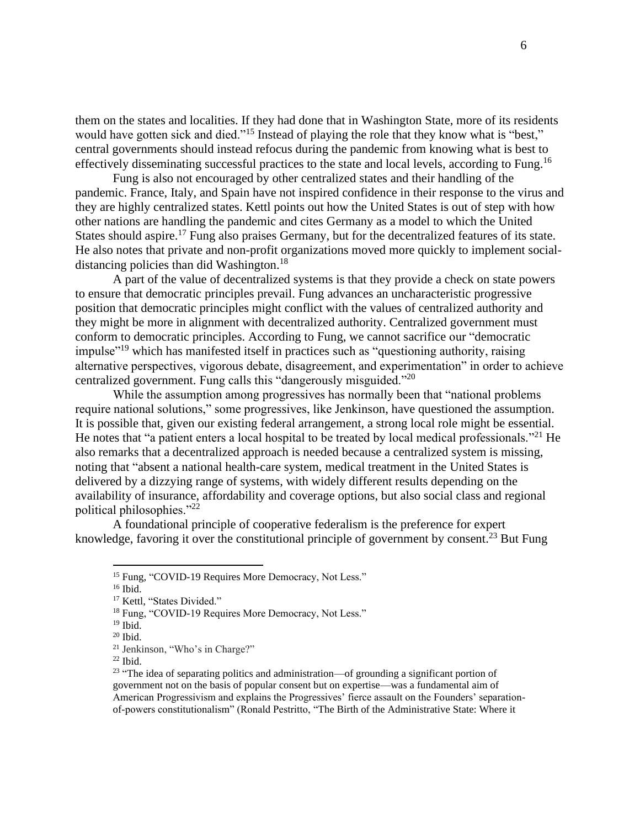them on the states and localities. If they had done that in Washington State, more of its residents would have gotten sick and died."<sup>15</sup> Instead of playing the role that they know what is "best," central governments should instead refocus during the pandemic from knowing what is best to effectively disseminating successful practices to the state and local levels, according to Fung.<sup>16</sup>

Fung is also not encouraged by other centralized states and their handling of the pandemic. France, Italy, and Spain have not inspired confidence in their response to the virus and they are highly centralized states. Kettl points out how the United States is out of step with how other nations are handling the pandemic and cites Germany as a model to which the United States should aspire.<sup>17</sup> Fung also praises Germany, but for the decentralized features of its state. He also notes that private and non-profit organizations moved more quickly to implement socialdistancing policies than did Washington.<sup>18</sup>

A part of the value of decentralized systems is that they provide a check on state powers to ensure that democratic principles prevail. Fung advances an uncharacteristic progressive position that democratic principles might conflict with the values of centralized authority and they might be more in alignment with decentralized authority. Centralized government must conform to democratic principles. According to Fung, we cannot sacrifice our "democratic impulse"<sup>19</sup> which has manifested itself in practices such as "questioning authority, raising alternative perspectives, vigorous debate, disagreement, and experimentation" in order to achieve centralized government. Fung calls this "dangerously misguided."<sup>20</sup>

While the assumption among progressives has normally been that "national problems require national solutions," some progressives, like Jenkinson, have questioned the assumption. It is possible that, given our existing federal arrangement, a strong local role might be essential. He notes that "a patient enters a local hospital to be treated by local medical professionals."<sup>21</sup> He also remarks that a decentralized approach is needed because a centralized system is missing, noting that "absent a national health-care system, medical treatment in the United States is delivered by a dizzying range of systems, with widely different results depending on the availability of insurance, affordability and coverage options, but also social class and regional political philosophies."<sup>22</sup>

A foundational principle of cooperative federalism is the preference for expert knowledge, favoring it over the constitutional principle of government by consent.<sup>23</sup> But Fung

<sup>&</sup>lt;sup>15</sup> Fung, "COVID-19 Requires More Democracy, Not Less."

<sup>16</sup> Ibid.

<sup>&</sup>lt;sup>17</sup> Kettl, "States Divided."

<sup>&</sup>lt;sup>18</sup> Fung, "COVID-19 Requires More Democracy, Not Less."

<sup>19</sup> Ibid.

 $20$  Ibid.

<sup>21</sup> Jenkinson, "Who's in Charge?"

<sup>22</sup> Ibid.

 $23$  "The idea of separating politics and administration—of grounding a significant portion of government not on the basis of popular consent but on expertise—was a fundamental aim of American Progressivism and explains the Progressives' fierce assault on the Founders' separationof-powers constitutionalism" (Ronald Pestritto, "The Birth of the Administrative State: Where it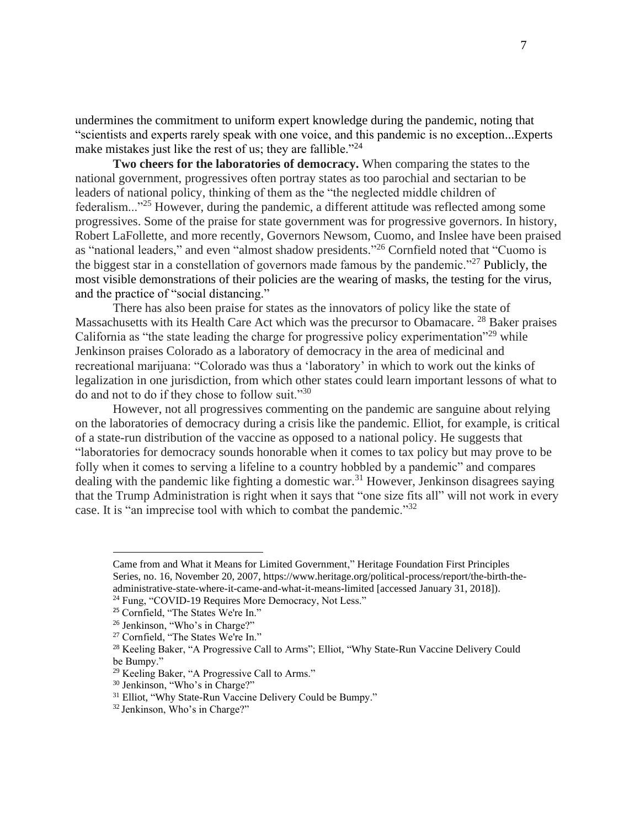undermines the commitment to uniform expert knowledge during the pandemic, noting that "scientists and experts rarely speak with one voice, and this pandemic is no exception...Experts make mistakes just like the rest of us; they are fallible."<sup>24</sup>

**Two cheers for the laboratories of democracy.** When comparing the states to the national government, progressives often portray states as too parochial and sectarian to be leaders of national policy, thinking of them as the "the neglected middle children of federalism..."<sup>25</sup> However, during the pandemic, a different attitude was reflected among some progressives. Some of the praise for state government was for progressive governors. In history, Robert LaFollette, and more recently, Governors Newsom, Cuomo, and Inslee have been praised as "national leaders," and even "almost shadow presidents."<sup>26</sup> Cornfield noted that "Cuomo is the biggest star in a constellation of governors made famous by the pandemic."<sup>27</sup> Publicly, the most visible demonstrations of their policies are the wearing of masks, the testing for the virus, and the practice of "social distancing."

There has also been praise for states as the innovators of policy like the state of Massachusetts with its Health Care Act which was the precursor to Obamacare.<sup>28</sup> Baker praises California as "the state leading the charge for progressive policy experimentation"<sup>29</sup> while Jenkinson praises Colorado as a laboratory of democracy in the area of medicinal and recreational marijuana: "Colorado was thus a 'laboratory' in which to work out the kinks of legalization in one jurisdiction, from which other states could learn important lessons of what to do and not to do if they chose to follow suit."<sup>30</sup>

However, not all progressives commenting on the pandemic are sanguine about relying on the laboratories of democracy during a crisis like the pandemic. Elliot, for example, is critical of a state-run distribution of the vaccine as opposed to a national policy. He suggests that "laboratories for democracy sounds honorable when it comes to tax policy but may prove to be folly when it comes to serving a lifeline to a country hobbled by a pandemic" and compares dealing with the pandemic like fighting a domestic war.<sup>31</sup> However, Jenkinson disagrees saying that the Trump Administration is right when it says that "one size fits all" will not work in every case. It is "an imprecise tool with which to combat the pandemic."<sup>32</sup>

Came from and What it Means for Limited Government," Heritage Foundation First Principles Series, no. 16, November 20, 2007, https://www.heritage.org/political-process/report/the-birth-theadministrative-state-where-it-came-and-what-it-means-limited [accessed January 31, 2018]). <sup>24</sup> Fung, "COVID-19 Requires More Democracy, Not Less."

<sup>25</sup> Cornfield, "The States We're In."

<sup>26</sup> Jenkinson, "Who's in Charge?"

<sup>&</sup>lt;sup>27</sup> Cornfield, "The States We're In."

<sup>&</sup>lt;sup>28</sup> Keeling Baker, "A Progressive Call to Arms"; Elliot, "Why State-Run Vaccine Delivery Could be Bumpy."

<sup>&</sup>lt;sup>29</sup> Keeling Baker, "A Progressive Call to Arms."

<sup>30</sup> Jenkinson, "Who's in Charge?"

<sup>&</sup>lt;sup>31</sup> Elliot, "Why State-Run Vaccine Delivery Could be Bumpy."

<sup>32</sup> Jenkinson, Who's in Charge?"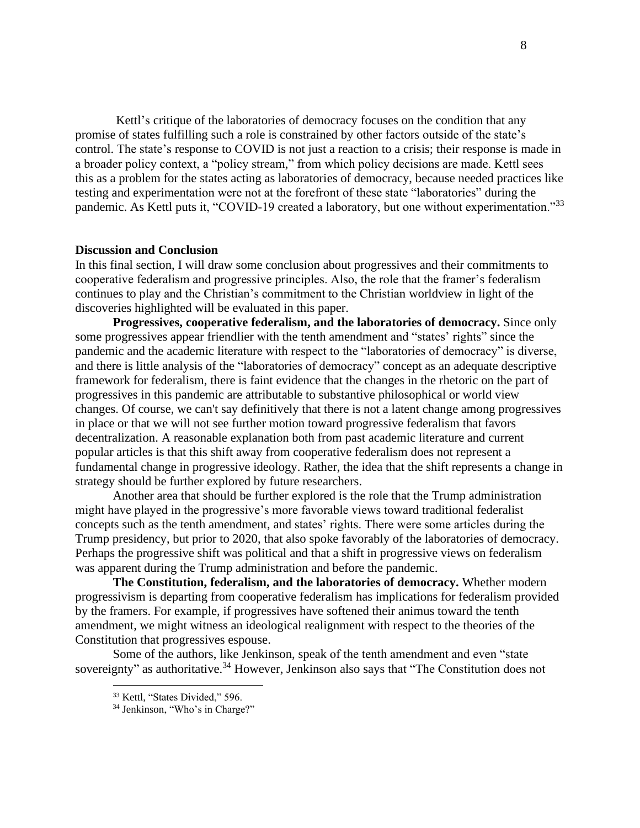Kettl's critique of the laboratories of democracy focuses on the condition that any promise of states fulfilling such a role is constrained by other factors outside of the state's control. The state's response to COVID is not just a reaction to a crisis; their response is made in a broader policy context, a "policy stream," from which policy decisions are made. Kettl sees this as a problem for the states acting as laboratories of democracy, because needed practices like testing and experimentation were not at the forefront of these state "laboratories" during the pandemic. As Kettl puts it, "COVID-19 created a laboratory, but one without experimentation."<sup>33</sup>

#### **Discussion and Conclusion**

In this final section, I will draw some conclusion about progressives and their commitments to cooperative federalism and progressive principles. Also, the role that the framer's federalism continues to play and the Christian's commitment to the Christian worldview in light of the discoveries highlighted will be evaluated in this paper.

**Progressives, cooperative federalism, and the laboratories of democracy.** Since only some progressives appear friendlier with the tenth amendment and "states' rights" since the pandemic and the academic literature with respect to the "laboratories of democracy" is diverse, and there is little analysis of the "laboratories of democracy" concept as an adequate descriptive framework for federalism, there is faint evidence that the changes in the rhetoric on the part of progressives in this pandemic are attributable to substantive philosophical or world view changes. Of course, we can't say definitively that there is not a latent change among progressives in place or that we will not see further motion toward progressive federalism that favors decentralization. A reasonable explanation both from past academic literature and current popular articles is that this shift away from cooperative federalism does not represent a fundamental change in progressive ideology. Rather, the idea that the shift represents a change in strategy should be further explored by future researchers.

Another area that should be further explored is the role that the Trump administration might have played in the progressive's more favorable views toward traditional federalist concepts such as the tenth amendment, and states' rights. There were some articles during the Trump presidency, but prior to 2020, that also spoke favorably of the laboratories of democracy. Perhaps the progressive shift was political and that a shift in progressive views on federalism was apparent during the Trump administration and before the pandemic.

**The Constitution, federalism, and the laboratories of democracy.** Whether modern progressivism is departing from cooperative federalism has implications for federalism provided by the framers. For example, if progressives have softened their animus toward the tenth amendment, we might witness an ideological realignment with respect to the theories of the Constitution that progressives espouse.

Some of the authors, like Jenkinson, speak of the tenth amendment and even "state sovereignty" as authoritative.<sup>34</sup> However, Jenkinson also says that "The Constitution does not

<sup>33</sup> Kettl, "States Divided," 596.

<sup>&</sup>lt;sup>34</sup> Jenkinson, "Who's in Charge?"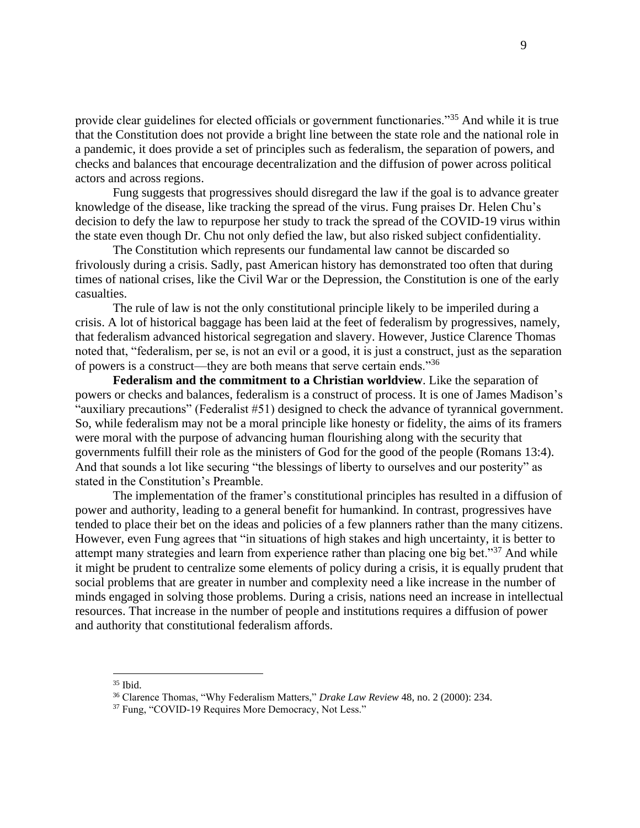provide clear guidelines for elected officials or government functionaries."<sup>35</sup> And while it is true that the Constitution does not provide a bright line between the state role and the national role in a pandemic, it does provide a set of principles such as federalism, the separation of powers, and checks and balances that encourage decentralization and the diffusion of power across political actors and across regions.

Fung suggests that progressives should disregard the law if the goal is to advance greater knowledge of the disease, like tracking the spread of the virus. Fung praises Dr. Helen Chu's decision to defy the law to repurpose her study to track the spread of the COVID-19 virus within the state even though Dr. Chu not only defied the law, but also risked subject confidentiality.

The Constitution which represents our fundamental law cannot be discarded so frivolously during a crisis. Sadly, past American history has demonstrated too often that during times of national crises, like the Civil War or the Depression, the Constitution is one of the early casualties.

The rule of law is not the only constitutional principle likely to be imperiled during a crisis. A lot of historical baggage has been laid at the feet of federalism by progressives, namely, that federalism advanced historical segregation and slavery. However, Justice Clarence Thomas noted that, "federalism, per se, is not an evil or a good, it is just a construct, just as the separation of powers is a construct—they are both means that serve certain ends."<sup>36</sup>

**Federalism and the commitment to a Christian worldview**. Like the separation of powers or checks and balances, federalism is a construct of process. It is one of James Madison's "auxiliary precautions" (Federalist #51) designed to check the advance of tyrannical government. So, while federalism may not be a moral principle like honesty or fidelity, the aims of its framers were moral with the purpose of advancing human flourishing along with the security that governments fulfill their role as the ministers of God for the good of the people (Romans 13:4). And that sounds a lot like securing "the blessings of liberty to ourselves and our posterity" as stated in the Constitution's Preamble.

The implementation of the framer's constitutional principles has resulted in a diffusion of power and authority, leading to a general benefit for humankind. In contrast, progressives have tended to place their bet on the ideas and policies of a few planners rather than the many citizens. However, even Fung agrees that "in situations of high stakes and high uncertainty, it is better to attempt many strategies and learn from experience rather than placing one big bet."<sup>37</sup> And while it might be prudent to centralize some elements of policy during a crisis, it is equally prudent that social problems that are greater in number and complexity need a like increase in the number of minds engaged in solving those problems. During a crisis, nations need an increase in intellectual resources. That increase in the number of people and institutions requires a diffusion of power and authority that constitutional federalism affords.

<sup>35</sup> Ibid.

<sup>36</sup> Clarence Thomas, "Why Federalism Matters," *Drake Law Review* 48, no. 2 (2000): 234.

<sup>&</sup>lt;sup>37</sup> Fung, "COVID-19 Requires More Democracy, Not Less."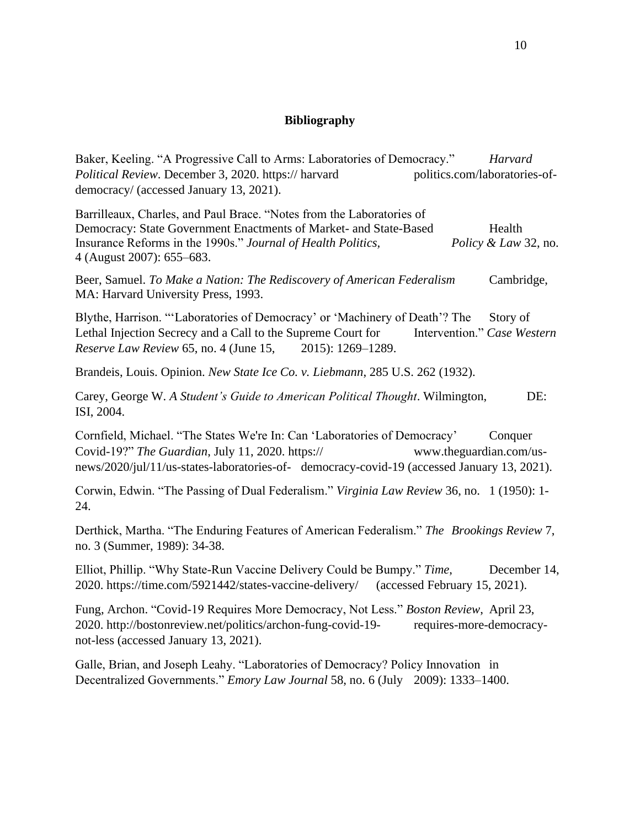# **Bibliography**

Baker, Keeling. "A Progressive Call to Arms: Laboratories of Democracy." *Harvard Political Review.* December 3, 2020. https:// harvard politics.com/laboratories-ofdemocracy/ (accessed January 13, 2021).

Barrilleaux, Charles, and Paul Brace. "Notes from the Laboratories of Democracy: State Government Enactments of Market- and State-Based Health Insurance Reforms in the 1990s." *Journal of Health Politics, Policy & Law* 32, no. 4 (August 2007): 655–683.

Beer, Samuel. *To Make a Nation: The Rediscovery of American Federalism* Cambridge, MA: Harvard University Press, 1993.

Blythe, Harrison. "'Laboratories of Democracy' or 'Machinery of Death'? The Story of Lethal Injection Secrecy and a Call to the Supreme Court for Intervention." *Case Western Reserve Law Review* 65, no. 4 (June 15, 2015): 1269–1289.

Brandeis, Louis. Opinion. *New State Ice Co. v. Liebmann*, 285 U.S. 262 (1932).

Carey, George W. *A Student's Guide to American Political Thought*. Wilmington, DE: ISI, 2004.

Cornfield, Michael. "The States We're In: Can 'Laboratories of Democracy' Conquer Covid-19?" *The Guardian*, July 11, 2020. https:// www.theguardian.com/usnews/2020/jul/11/us-states-laboratories-of- democracy-covid-19 (accessed January 13, 2021).

Corwin, Edwin. "The Passing of Dual Federalism." *Virginia Law Review* 36, no. 1 (1950): 1- 24.

Derthick, Martha. "The Enduring Features of American Federalism." *The Brookings Review* 7, no. 3 (Summer, 1989): 34-38.

Elliot, Phillip. "Why State-Run Vaccine Delivery Could be Bumpy." *Time*, December 14, 2020. https://time.com/5921442/states-vaccine-delivery/ (accessed February 15, 2021).

Fung, Archon. "Covid-19 Requires More Democracy, Not Less." *Boston Review*, April 23, 2020. http://bostonreview.net/politics/archon-fung-covid-19- requires-more-democracynot-less (accessed January 13, 2021).

Galle, Brian, and Joseph Leahy. "Laboratories of Democracy? Policy Innovation in Decentralized Governments." *Emory Law Journal* 58, no. 6 (July 2009): 1333–1400.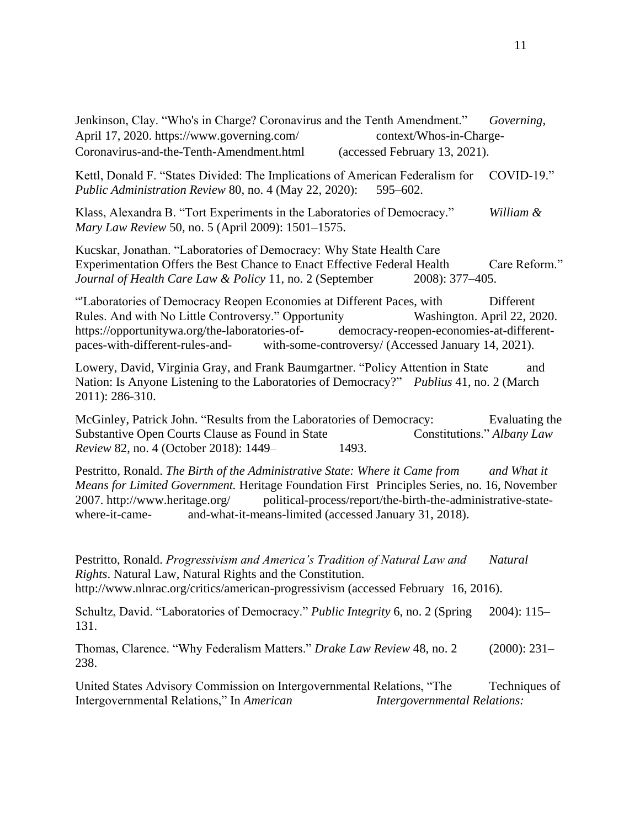Jenkinson, Clay. "Who's in Charge? Coronavirus and the Tenth Amendment." *Governing*, April 17, 2020. https://www.governing.com/ context/Whos-in-Charge-Coronavirus-and-the-Tenth-Amendment.html (accessed February 13, 2021). Kettl, Donald F. "States Divided: The Implications of American Federalism for COVID-19." *Public Administration Review* 80, no. 4 (May 22, 2020): 595–602. Klass, Alexandra B. "Tort Experiments in the Laboratories of Democracy." *William & Mary Law Review* 50, no. 5 (April 2009): 1501–1575. Kucskar, Jonathan. "Laboratories of Democracy: Why State Health Care Experimentation Offers the Best Chance to Enact Effective Federal Health Care Reform." *Journal of Health Care Law & Policy* 11, no. 2 (September 2008): 377–405. "'Laboratories of Democracy Reopen Economies at Different Paces, with Different Rules. And with No Little Controversy." Opportunity Washington. April 22, 2020. https://opportunitywa.org/the-laboratories-of- democracy-reopen-economies-at-differentpaces-with-different-rules-and- with-some-controversy/ (Accessed January 14, 2021). Lowery, David, Virginia Gray, and Frank Baumgartner. "Policy Attention in State and Nation: Is Anyone Listening to the Laboratories of Democracy?" *Publius* 41, no. 2 (March 2011): 286-310. McGinley, Patrick John. "Results from the Laboratories of Democracy: Evaluating the Substantive Open Courts Clause as Found in State Constitutions." *Albany Law Review* 82, no. 4 (October 2018): 1449– 1493. Pestritto, Ronald. *The Birth of the Administrative State: Where it Came from* and What it *Means for Limited Government.* Heritage Foundation First Principles Series, no. 16, November 2007. http://www.heritage.org/ political-process/report/the-birth-the-administrative-statewhere-it-came- and-what-it-means-limited (accessed January 31, 2018). Pestritto, Ronald. *Progressivism and America's Tradition of Natural Law and Natural Rights*. Natural Law, Natural Rights and the Constitution. http://www.nlnrac.org/critics/american-progressivism (accessed February 16, 2016). Schultz, David. "Laboratories of Democracy." *Public Integrity* 6, no. 2 (Spring 2004): 115– 131. Thomas, Clarence. "Why Federalism Matters." *Drake Law Review* 48, no. 2 (2000): 231– 238. United States Advisory Commission on Intergovernmental Relations, "The Techniques of Intergovernmental Relations," In *American Intergovernmental Relations:*